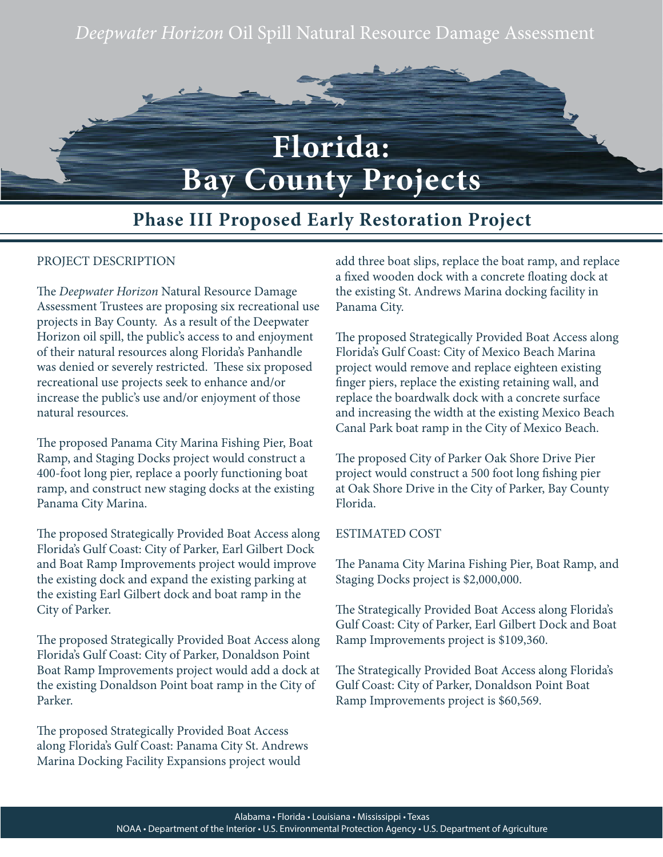# *Deepwater Horizon* Oil Spill Natural Resource Damage Assessment



# **Phase III Proposed Early Restoration Project**

### PROJECT DESCRIPTION

The *Deepwater Horizon* Natural Resource Damage Assessment Trustees are proposing six recreational use projects in Bay County. As a result of the Deepwater Horizon oil spill, the public's access to and enjoyment of their natural resources along Florida's Panhandle was denied or severely restricted. These six proposed recreational use projects seek to enhance and/or increase the public's use and/or enjoyment of those natural resources.

The proposed Panama City Marina Fishing Pier, Boat Ramp, and Staging Docks project would construct a 400-foot long pier, replace a poorly functioning boat ramp, and construct new staging docks at the existing Panama City Marina.

The proposed Strategically Provided Boat Access along Florida's Gulf Coast: City of Parker, Earl Gilbert Dock and Boat Ramp Improvements project would improve the existing dock and expand the existing parking at the existing Earl Gilbert dock and boat ramp in the City of Parker.

The proposed Strategically Provided Boat Access along Florida's Gulf Coast: City of Parker, Donaldson Point Boat Ramp Improvements project would add a dock at the existing Donaldson Point boat ramp in the City of Parker.

The proposed Strategically Provided Boat Access along Florida's Gulf Coast: Panama City St. Andrews Marina Docking Facility Expansions project would

add three boat slips, replace the boat ramp, and replace a fixed wooden dock with a concrete floating dock at the existing St. Andrews Marina docking facility in Panama City.

The proposed Strategically Provided Boat Access along Florida's Gulf Coast: City of Mexico Beach Marina project would remove and replace eighteen existing finger piers, replace the existing retaining wall, and replace the boardwalk dock with a concrete surface and increasing the width at the existing Mexico Beach Canal Park boat ramp in the City of Mexico Beach.

The proposed City of Parker Oak Shore Drive Pier project would construct a 500 foot long fishing pier at Oak Shore Drive in the City of Parker, Bay County Florida.

#### ESTIMATED COST

The Panama City Marina Fishing Pier, Boat Ramp, and Staging Docks project is \$2,000,000.

The Strategically Provided Boat Access along Florida's Gulf Coast: City of Parker, Earl Gilbert Dock and Boat Ramp Improvements project is \$109,360.

The Strategically Provided Boat Access along Florida's Gulf Coast: City of Parker, Donaldson Point Boat Ramp Improvements project is \$60,569.